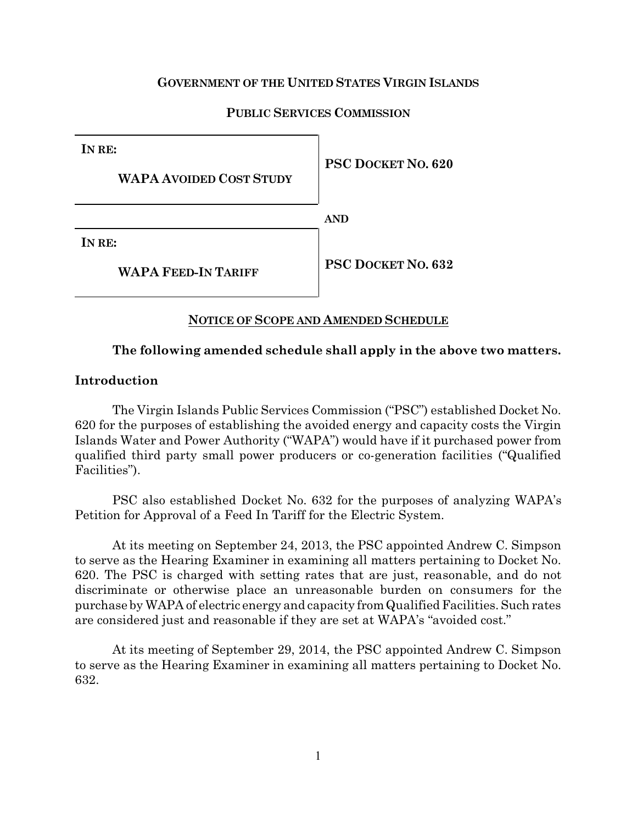## **GOVERNMENT OF THE UNITED STATES VIRGIN ISLANDS**

## **PUBLIC SERVICES COMMISSION**

| IN RE:                         |                           |
|--------------------------------|---------------------------|
| <b>WAPA AVOIDED COST STUDY</b> | <b>PSC DOCKET NO. 620</b> |
|                                | <b>AND</b>                |
| IN RE:                         |                           |
| <b>WAPA FEED-IN TARIFF</b>     | <b>PSC DOCKET NO. 632</b> |

### **NOTICE OF SCOPE AND AMENDED SCHEDULE**

### **The following amended schedule shall apply in the above two matters.**

### **Introduction**

The Virgin Islands Public Services Commission ("PSC") established Docket No. 620 for the purposes of establishing the avoided energy and capacity costs the Virgin Islands Water and Power Authority ("WAPA") would have if it purchased power from qualified third party small power producers or co-generation facilities ("Qualified Facilities").

PSC also established Docket No. 632 for the purposes of analyzing WAPA's Petition for Approval of a Feed In Tariff for the Electric System.

At its meeting on September 24, 2013, the PSC appointed Andrew C. Simpson to serve as the Hearing Examiner in examining all matters pertaining to Docket No. 620. The PSC is charged with setting rates that are just, reasonable, and do not discriminate or otherwise place an unreasonable burden on consumers for the purchase by WAPA of electric energy and capacity fromQualifiedFacilities. Such rates are considered just and reasonable if they are set at WAPA's "avoided cost."

At its meeting of September 29, 2014, the PSC appointed Andrew C. Simpson to serve as the Hearing Examiner in examining all matters pertaining to Docket No. 632.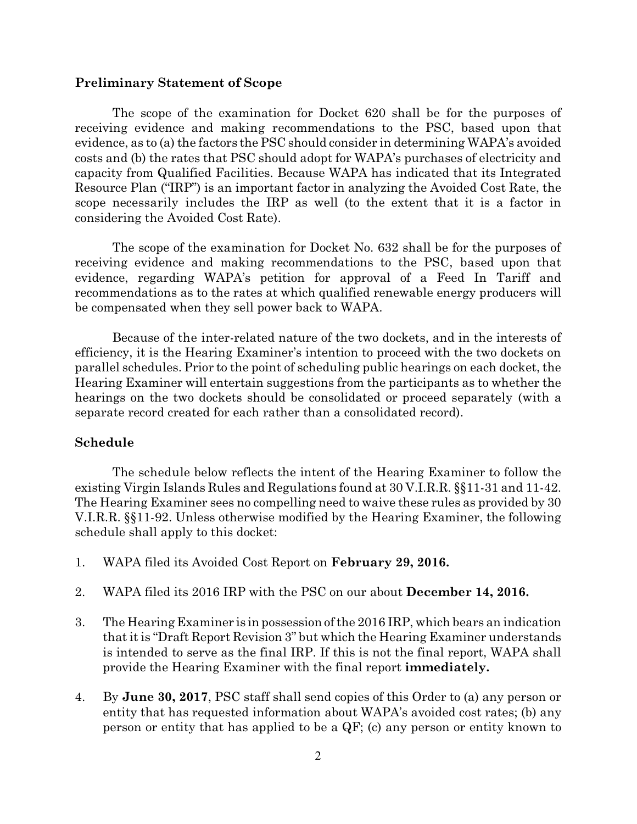#### **Preliminary Statement of Scope**

The scope of the examination for Docket 620 shall be for the purposes of receiving evidence and making recommendations to the PSC, based upon that evidence, as to (a) the factors the PSC should consider in determining WAPA's avoided costs and (b) the rates that PSC should adopt for WAPA's purchases of electricity and capacity from Qualified Facilities. Because WAPA has indicated that its Integrated Resource Plan ("IRP") is an important factor in analyzing the Avoided Cost Rate, the scope necessarily includes the IRP as well (to the extent that it is a factor in considering the Avoided Cost Rate).

The scope of the examination for Docket No. 632 shall be for the purposes of receiving evidence and making recommendations to the PSC, based upon that evidence, regarding WAPA's petition for approval of a Feed In Tariff and recommendations as to the rates at which qualified renewable energy producers will be compensated when they sell power back to WAPA.

Because of the inter-related nature of the two dockets, and in the interests of efficiency, it is the Hearing Examiner's intention to proceed with the two dockets on parallel schedules. Prior to the point of scheduling public hearings on each docket, the Hearing Examiner will entertain suggestions from the participants as to whether the hearings on the two dockets should be consolidated or proceed separately (with a separate record created for each rather than a consolidated record).

#### **Schedule**

The schedule below reflects the intent of the Hearing Examiner to follow the existing Virgin Islands Rules and Regulations found at 30 V.I.R.R. §§11-31 and 11-42. The Hearing Examiner sees no compelling need to waive these rules as provided by 30 V.I.R.R. §§11-92. Unless otherwise modified by the Hearing Examiner, the following schedule shall apply to this docket:

- 1. WAPA filed its Avoided Cost Report on **February 29, 2016.**
- 2. WAPA filed its 2016 IRP with the PSC on our about **December 14, 2016.**
- 3. The Hearing Examiner is in possession ofthe 2016 IRP, which bears an indication that itis "Draft Report Revision 3" but which the Hearing Examiner understands is intended to serve as the final IRP. If this is not the final report, WAPA shall provide the Hearing Examiner with the final report **immediately.**
- 4. By **June 30, 2017**, PSC staff shall send copies of this Order to (a) any person or entity that has requested information about WAPA's avoided cost rates; (b) any person or entity that has applied to be a QF; (c) any person or entity known to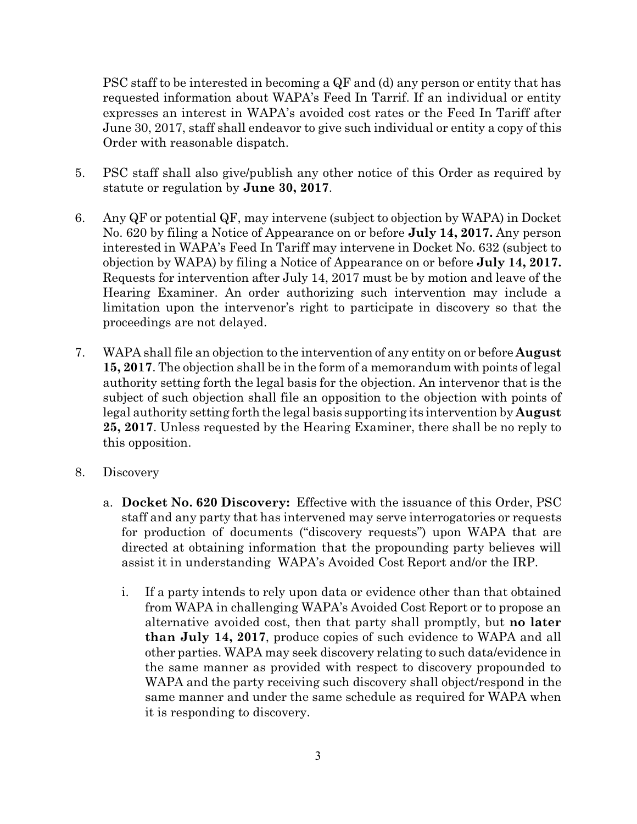PSC staff to be interested in becoming a QF and (d) any person or entity that has requested information about WAPA's Feed In Tarrif. If an individual or entity expresses an interest in WAPA's avoided cost rates or the Feed In Tariff after June 30, 2017, staff shall endeavor to give such individual or entity a copy of this Order with reasonable dispatch.

- 5. PSC staff shall also give/publish any other notice of this Order as required by statute or regulation by **June 30, 2017**.
- 6. Any QF or potential QF, may intervene (subject to objection by WAPA) in Docket No. 620 by filing a Notice of Appearance on or before **July 14, 2017.** Any person interested in WAPA's Feed In Tariff may intervene in Docket No. 632 (subject to objection by WAPA) by filing a Notice of Appearance on or before **July 14, 2017.** Requests for intervention after July 14, 2017 must be by motion and leave of the Hearing Examiner. An order authorizing such intervention may include a limitation upon the intervenor's right to participate in discovery so that the proceedings are not delayed.
- 7. WAPA shall file an objection to the intervention of any entity on or before **August 15, 2017**. The objection shall be in the form of a memorandum with points of legal authority setting forth the legal basis for the objection. An intervenor that is the subject of such objection shall file an opposition to the objection with points of legal authority setting forth the legal basis supporting its intervention by **August 25, 2017**. Unless requested by the Hearing Examiner, there shall be no reply to this opposition.
- 8. Discovery
	- a. **Docket No. 620 Discovery:** Effective with the issuance of this Order, PSC staff and any party that has intervened may serve interrogatories or requests for production of documents ("discovery requests") upon WAPA that are directed at obtaining information that the propounding party believes will assist it in understanding WAPA's Avoided Cost Report and/or the IRP.
		- i. If a party intends to rely upon data or evidence other than that obtained from WAPA in challenging WAPA's Avoided Cost Report or to propose an alternative avoided cost, then that party shall promptly, but **no later than July 14, 2017**, produce copies of such evidence to WAPA and all other parties. WAPA may seek discovery relating to such data/evidence in the same manner as provided with respect to discovery propounded to WAPA and the party receiving such discovery shall object/respond in the same manner and under the same schedule as required for WAPA when it is responding to discovery.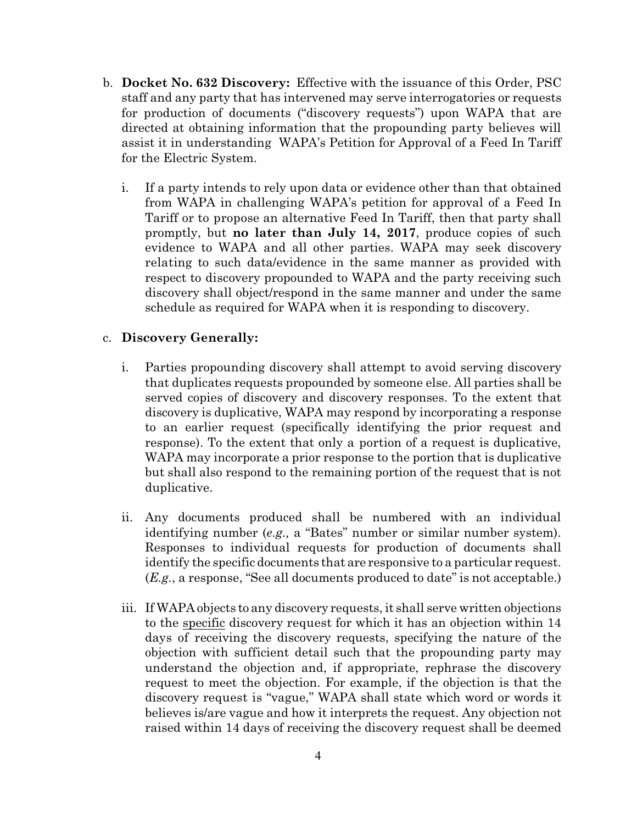- b. **Docket No. 632 Discovery:** Effective with the issuance of this Order, PSC staff and any party that has intervened may serve interrogatories or requests for production of documents ("discovery requests") upon WAPA that are directed at obtaining information that the propounding party believes will assist it in understanding WAPA's Petition for Approval of a Feed In Tariff for the Electric System.
	- i. If a party intends to rely upon data or evidence other than that obtained from WAPA in challenging WAPA's petition for approval of a Feed In Tariff or to propose an alternative Feed In Tariff, then that party shall promptly, but **no later than July 14, 2017**, produce copies of such evidence to WAPA and all other parties. WAPA may seek discovery relating to such data/evidence in the same manner as provided with respect to discovery propounded to WAPA and the party receiving such discovery shall object/respond in the same manner and under the same schedule as required for WAPA when it is responding to discovery.

# c. **Discovery Generally:**

- i. Parties propounding discovery shall attempt to avoid serving discovery that duplicates requests propounded by someone else. All parties shall be served copies of discovery and discovery responses. To the extent that discovery is duplicative, WAPA may respond by incorporating a response to an earlier request (specifically identifying the prior request and response). To the extent that only a portion of a request is duplicative, WAPA may incorporate a prior response to the portion that is duplicative but shall also respond to the remaining portion of the request that is not duplicative.
- ii. Any documents produced shall be numbered with an individual identifying number (*e.g.,* a "Bates" number or similar number system). Responses to individual requests for production of documents shall identify the specific documents that are responsive to a particular request. (*E.g.*, a response, "See all documents produced to date" is not acceptable.)
- iii. If WAPA objects to any discovery requests, it shall serve written objections to the specific discovery request for which it has an objection within 14 days of receiving the discovery requests, specifying the nature of the objection with sufficient detail such that the propounding party may understand the objection and, if appropriate, rephrase the discovery request to meet the objection. For example, if the objection is that the discovery request is "vague," WAPA shall state which word or words it believes is/are vague and how it interprets the request. Any objection not raised within 14 days of receiving the discovery request shall be deemed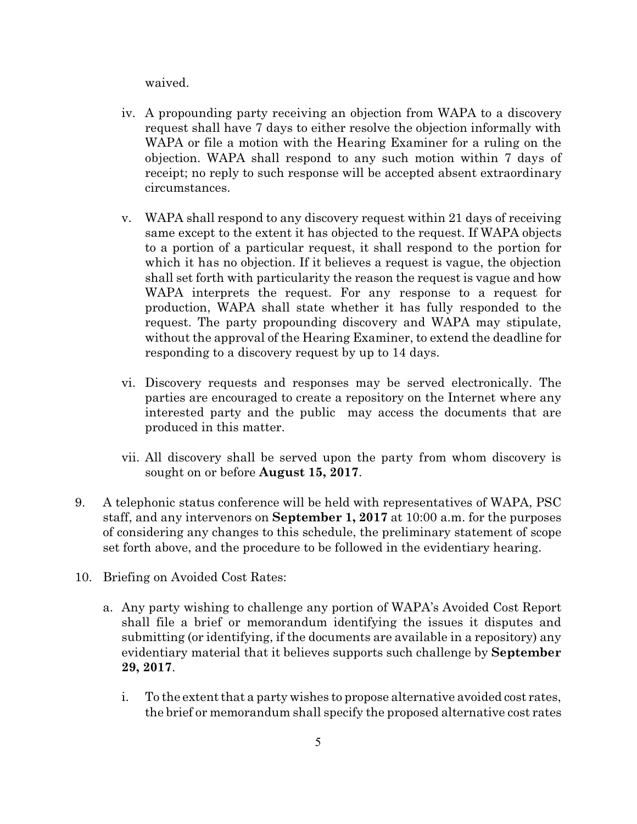waived.

- iv. A propounding party receiving an objection from WAPA to a discovery request shall have 7 days to either resolve the objection informally with WAPA or file a motion with the Hearing Examiner for a ruling on the objection. WAPA shall respond to any such motion within 7 days of receipt; no reply to such response will be accepted absent extraordinary circumstances.
- v. WAPA shall respond to any discovery request within 21 days of receiving same except to the extent it has objected to the request. If WAPA objects to a portion of a particular request, it shall respond to the portion for which it has no objection. If it believes a request is vague, the objection shall set forth with particularity the reason the request is vague and how WAPA interprets the request. For any response to a request for production, WAPA shall state whether it has fully responded to the request. The party propounding discovery and WAPA may stipulate, without the approval of the Hearing Examiner, to extend the deadline for responding to a discovery request by up to 14 days.
- vi. Discovery requests and responses may be served electronically. The parties are encouraged to create a repository on the Internet where any interested party and the public may access the documents that are produced in this matter.
- vii. All discovery shall be served upon the party from whom discovery is sought on or before **August 15, 2017**.
- 9. A telephonic status conference will be held with representatives of WAPA, PSC staff, and any intervenors on **September 1, 2017** at 10:00 a.m. for the purposes of considering any changes to this schedule, the preliminary statement of scope set forth above, and the procedure to be followed in the evidentiary hearing.
- 10. Briefing on Avoided Cost Rates:
	- a. Any party wishing to challenge any portion of WAPA's Avoided Cost Report shall file a brief or memorandum identifying the issues it disputes and submitting (or identifying, if the documents are available in a repository) any evidentiary material that it believes supports such challenge by **September 29, 2017**.
		- i. To the extent that a party wishes to propose alternative avoided cost rates, the brief or memorandum shall specify the proposed alternative cost rates